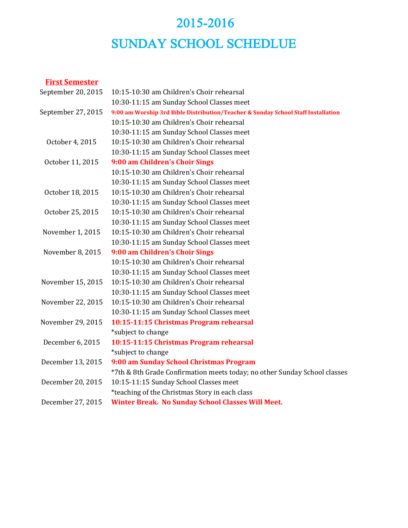# 2015-2016 SUNDAY SCHOOL SCHEDLUE

### **First Semester**

| September 20, 2015 | 10:15-10:30 am Children's Choir rehearsal                                         |
|--------------------|-----------------------------------------------------------------------------------|
|                    | 10:30-11:15 am Sunday School Classes meet                                         |
| September 27, 2015 | 9:00 am Worship 3rd Bible Distribution/Teacher & Sunday School Staff Installation |
|                    | 10:15-10:30 am Children's Choir rehearsal                                         |
|                    | 10:30-11:15 am Sunday School Classes meet                                         |
| October 4, 2015    | 10:15-10:30 am Children's Choir rehearsal                                         |
|                    | 10:30-11:15 am Sunday School Classes meet                                         |
| October 11, 2015   | 9:00 am Children's Choir Sings                                                    |
|                    | 10:15-10:30 am Children's Choir rehearsal                                         |
|                    | 10:30-11:15 am Sunday School Classes meet                                         |
| October 18, 2015   | 10:15-10:30 am Children's Choir rehearsal                                         |
|                    | 10:30-11:15 am Sunday School Classes meet                                         |
| October 25, 2015   | 10:15-10:30 am Children's Choir rehearsal                                         |
|                    | 10:30-11:15 am Sunday School Classes meet                                         |
| November 1, 2015   | 10:15-10:30 am Children's Choir rehearsal                                         |
|                    | 10:30-11:15 am Sunday School Classes meet                                         |
| November 8, 2015   | 9:00 am Children's Choir Sings                                                    |
|                    | 10:15-10:30 am Children's Choir rehearsal                                         |
|                    | 10:30-11:15 am Sunday School Classes meet                                         |
| November 15, 2015  | 10:15-10:30 am Children's Choir rehearsal                                         |
|                    | 10:30-11:15 am Sunday School Classes meet                                         |
| November 22, 2015  | 10:15-10:30 am Children's Choir rehearsal                                         |
|                    | 10:30-11:15 am Sunday School Classes meet                                         |
| November 29, 2015  | 10:15-11:15 Christmas Program rehearsal                                           |
|                    | *subject to change                                                                |
| December 6, 2015   | 10:15-11:15 Christmas Program rehearsal                                           |
|                    | *subject to change                                                                |
| December 13, 2015  | 9:00 am Sunday School Christmas Program                                           |
|                    | *7th & 8th Grade Confirmation meets today; no other Sunday School classes         |
| December 20, 2015  | 10:15-11:15 Sunday School Classes meet                                            |
|                    | *teaching of the Christmas Story in each class                                    |
| December 27, 2015  | <b>Winter Break. No Sunday School Classes Will Meet.</b>                          |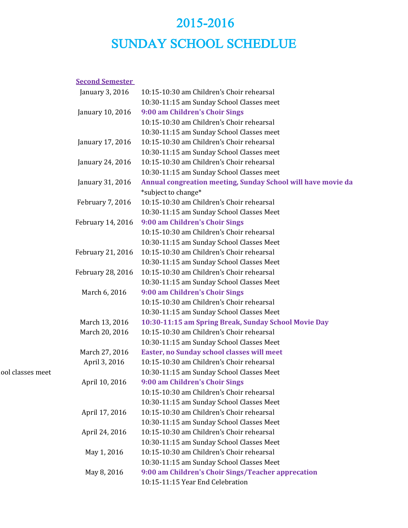## 2015-2016 SUNDAY SCHOOL SCHEDLUE

#### **Second Semester**

| January 3, 2016          | 10:15-10:30 am Children's Choir rehearsal                    |
|--------------------------|--------------------------------------------------------------|
|                          | 10:30-11:15 am Sunday School Classes meet                    |
| January 10, 2016         | 9:00 am Children's Choir Sings                               |
|                          | 10:15-10:30 am Children's Choir rehearsal                    |
|                          | 10:30-11:15 am Sunday School Classes meet                    |
| January 17, 2016         | 10:15-10:30 am Children's Choir rehearsal                    |
|                          | 10:30-11:15 am Sunday School Classes meet                    |
| January 24, 2016         | 10:15-10:30 am Children's Choir rehearsal                    |
|                          | 10:30-11:15 am Sunday School Classes meet                    |
| January 31, 2016         | Annual congreation meeting, Sunday School will have movie da |
|                          | *subject to change*                                          |
| February 7, 2016         | 10:15-10:30 am Children's Choir rehearsal                    |
|                          | 10:30-11:15 am Sunday School Classes Meet                    |
| February 14, 2016        | 9:00 am Children's Choir Sings                               |
|                          | 10:15-10:30 am Children's Choir rehearsal                    |
|                          | 10:30-11:15 am Sunday School Classes Meet                    |
| February 21, 2016        | 10:15-10:30 am Children's Choir rehearsal                    |
|                          | 10:30-11:15 am Sunday School Classes Meet                    |
| <b>February 28, 2016</b> | 10:15-10:30 am Children's Choir rehearsal                    |
|                          | 10:30-11:15 am Sunday School Classes Meet                    |
| March 6, 2016            | 9:00 am Children's Choir Sings                               |
|                          | 10:15-10:30 am Children's Choir rehearsal                    |
|                          | 10:30-11:15 am Sunday School Classes Meet                    |
| March 13, 2016           | 10:30-11:15 am Spring Break, Sunday School Movie Day         |
| March 20, 2016           | 10:15-10:30 am Children's Choir rehearsal                    |
|                          | 10:30-11:15 am Sunday School Classes Meet                    |
| March 27, 2016           | Easter, no Sunday school classes will meet                   |
| April 3, 2016            | 10:15-10:30 am Children's Choir rehearsal                    |
|                          | 10:30-11:15 am Sunday School Classes Meet                    |
| April 10, 2016           | 9:00 am Children's Choir Sings                               |
|                          | 10:15-10:30 am Children's Choir rehearsal                    |
|                          | 10:30-11:15 am Sunday School Classes Meet                    |
| April 17, 2016           | 10:15-10:30 am Children's Choir rehearsal                    |
|                          | 10:30-11:15 am Sunday School Classes Meet                    |
| April 24, 2016           | 10:15-10:30 am Children's Choir rehearsal                    |
|                          | 10:30-11:15 am Sunday School Classes Meet                    |
| May 1, 2016              | 10:15-10:30 am Children's Choir rehearsal                    |
|                          | 10:30-11:15 am Sunday School Classes Meet                    |
| May 8, 2016              | 9:00 am Children's Choir Sings/Teacher apprecation           |
|                          | 10:15-11:15 Year End Celebration                             |

ool classes meet